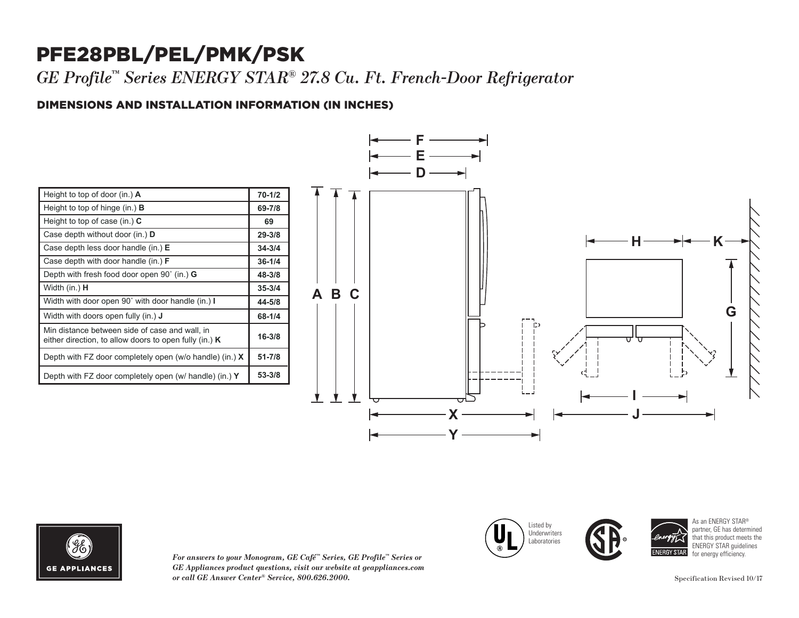## PFE28PBL/PEL/PMK/PSK

*GE Profile™ Series ENERGY STAR® 27.8 Cu. Ft. French-Door Refrigerator* 

### DIMENSIONS AND INSTALLATION INFORMATION (IN INCHES) **I**

| Height to top of door (in.) $\bf{A}$                                                                       | $70 - 1/2$ |
|------------------------------------------------------------------------------------------------------------|------------|
| Height to top of hinge (in.) $\bf{B}$                                                                      | 69-7/8     |
| Height to top of case (in.) $C$                                                                            | 69         |
| Case depth without door (in.) <b>D</b>                                                                     | $29 - 3/8$ |
| Case depth less door handle (in.) E                                                                        | $34 - 3/4$ |
| Case depth with door handle (in.) <b>F</b>                                                                 | $36 - 1/4$ |
| Depth with fresh food door open $90^{\circ}$ (in.) G                                                       | 48-3/8     |
| Width (in.) <b>H</b>                                                                                       | $35 - 3/4$ |
| Width with door open 90° with door handle (in.) I                                                          | 44-5/8     |
| Width with doors open fully (in.) <b>J</b>                                                                 | 68-1/4     |
| Min distance between side of case and wall, in<br>either direction, to allow doors to open fully (in.) $K$ | $16 - 3/8$ |
| Depth with FZ door completely open (w/o handle) (in.) $X$                                                  | $51 - 7/8$ |
| Depth with FZ door completely open (w/ handle) (in.) Y                                                     | 53-3/8     |





*For answers to your Monogram, GE Café™ Series, GE Profile™ Series or*   $GE$  *Appliances product questions, visit our website at geappliances.com or call GE Answer Center® Service, 800.626.2000.* Specification Revised 10/17







As an ENERGY STAR® partner, GE has determined that this product meets the ENERGY STAR guidelines for energy efficiency.